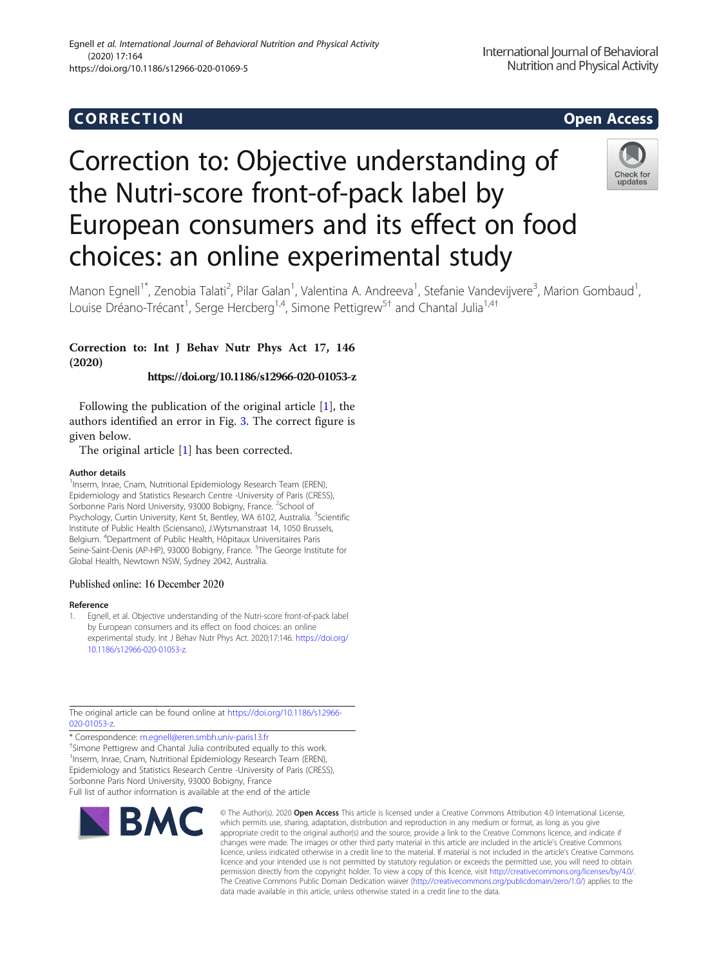# Corresponding to the corresponding to the corresponding to the corresponding to the corresponding to the corresponding to the corresponding to the corresponding to the corresponding to the corresponding to the correspondin

# Correction to: Objective understanding of the Nutri-score front-of-pack label by European consumers and its effect on food choices: an online experimental study



Manon Egnell<sup>1\*</sup>, Zenobia Talati<sup>2</sup>, Pilar Galan<sup>1</sup>, Valentina A. Andreeva<sup>1</sup>, Stefanie Vandevijvere<sup>3</sup>, Marion Gombaud<sup>1</sup> , Louise Dréano-Trécant<sup>1</sup>, Serge Hercberg<sup>1,4</sup>, Simone Pettigrew<sup>5†</sup> and Chantal Julia<sup>1,4†</sup>

# Correction to: Int J Behav Nutr Phys Act 17, 146 (2020)

https://doi.org/10.1186/s12966-020-01053-z

Following the publication of the original article [1], the authors identified an error in Fig. [3](#page-1-0). The correct figure is given below.

The original article [1] has been corrected.

## Author details

<sup>1</sup>Inserm, Inrae, Cnam, Nutritional Epidemiology Research Team (EREN), Epidemiology and Statistics Research Centre -University of Paris (CRESS), Sorbonne Paris Nord University, 93000 Bobigny, France. <sup>2</sup>School of Psychology, Curtin University, Kent St, Bentley, WA 6102, Australia. <sup>3</sup>Scientific Institute of Public Health (Sciensano), J.Wytsmanstraat 14, 1050 Brussels, Belgium. <sup>4</sup> Department of Public Health, Hôpitaux Universitaires Paris Seine-Saint-Denis (AP-HP), 93000 Bobigny, France. <sup>5</sup>The George Institute for Global Health, Newtown NSW, Sydney 2042, Australia.

## Published online: 16 December 2020

### Reference

1. Egnell, et al. Objective understanding of the Nutri-score front-of-pack label by European consumers and its effect on food choices: an online experimental study. Int J Behav Nutr Phys Act. 2020;17:146. [https://doi.org/](https://doi.org/10.1186/s12966-020-01053-z) [10.1186/s12966-020-01053-z.](https://doi.org/10.1186/s12966-020-01053-z)

The original article can be found online at [https://doi.org/10.1186/s12966-](https://doi.org/10.1186/s12966-020-01053-z) [020-01053-z.](https://doi.org/10.1186/s12966-020-01053-z)

\* Correspondence: [m.egnell@eren.smbh.univ-paris13.fr](mailto:m.egnell@eren.smbh.univ-paris13.fr) †

<sup>†</sup>Simone Pettigrew and Chantal Julia contributed equally to this work. <sup>1</sup> Inserm, Inrae, Cnam, Nutritional Epidemiology Research Team (EREN), Epidemiology and Statistics Research Centre -University of Paris (CRESS), Sorbonne Paris Nord University, 93000 Bobigny, France Full list of author information is available at the end of the article



© The Author(s), 2020 **Open Access** This article is licensed under a Creative Commons Attribution 4.0 International License, which permits use, sharing, adaptation, distribution and reproduction in any medium or format, as long as you give appropriate credit to the original author(s) and the source, provide a link to the Creative Commons licence, and indicate if changes were made. The images or other third party material in this article are included in the article's Creative Commons licence, unless indicated otherwise in a credit line to the material. If material is not included in the article's Creative Commons licence and your intended use is not permitted by statutory regulation or exceeds the permitted use, you will need to obtain permission directly from the copyright holder. To view a copy of this licence, visit [http://creativecommons.org/licenses/by/4.0/.](http://creativecommons.org/licenses/by/4.0/) The Creative Commons Public Domain Dedication waiver [\(http://creativecommons.org/publicdomain/zero/1.0/](http://creativecommons.org/publicdomain/zero/1.0/)) applies to the data made available in this article, unless otherwise stated in a credit line to the data.